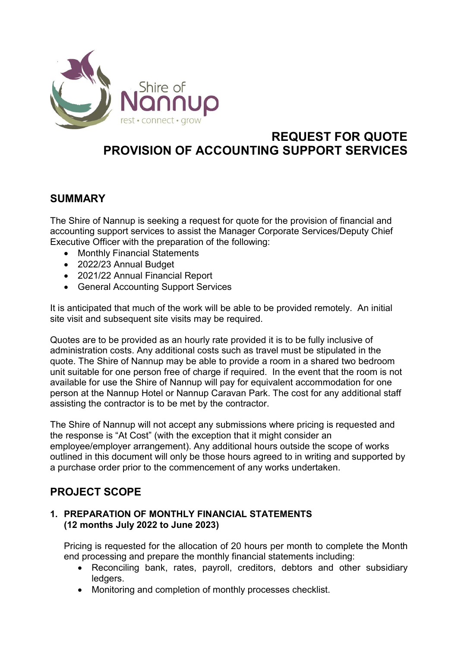

# REQUEST FOR QUOTE PROVISION OF ACCOUNTING SUPPORT SERVICES

# SUMMARY

The Shire of Nannup is seeking a request for quote for the provision of financial and accounting support services to assist the Manager Corporate Services/Deputy Chief Executive Officer with the preparation of the following:

- Monthly Financial Statements
- 2022/23 Annual Budget
- 2021/22 Annual Financial Report
- General Accounting Support Services

It is anticipated that much of the work will be able to be provided remotely. An initial site visit and subsequent site visits may be required.

Quotes are to be provided as an hourly rate provided it is to be fully inclusive of administration costs. Any additional costs such as travel must be stipulated in the quote. The Shire of Nannup may be able to provide a room in a shared two bedroom unit suitable for one person free of charge if required. In the event that the room is not available for use the Shire of Nannup will pay for equivalent accommodation for one person at the Nannup Hotel or Nannup Caravan Park. The cost for any additional staff assisting the contractor is to be met by the contractor.

The Shire of Nannup will not accept any submissions where pricing is requested and the response is "At Cost" (with the exception that it might consider an employee/employer arrangement). Any additional hours outside the scope of works outlined in this document will only be those hours agreed to in writing and supported by a purchase order prior to the commencement of any works undertaken.

# PROJECT SCOPE

### 1. PREPARATION OF MONTHLY FINANCIAL STATEMENTS (12 months July 2022 to June 2023)

Pricing is requested for the allocation of 20 hours per month to complete the Month end processing and prepare the monthly financial statements including:

- Reconciling bank, rates, payroll, creditors, debtors and other subsidiary ledgers.
- Monitoring and completion of monthly processes checklist.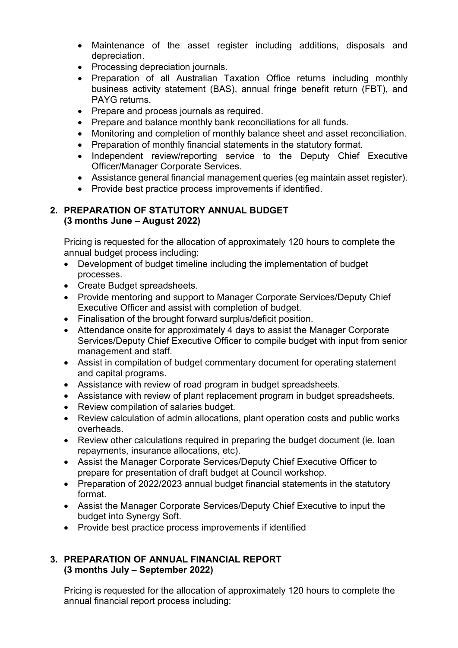- Maintenance of the asset register including additions, disposals and depreciation.
- Processing depreciation journals.
- Preparation of all Australian Taxation Office returns including monthly business activity statement (BAS), annual fringe benefit return (FBT), and PAYG returns.
- Prepare and process journals as required.
- Prepare and balance monthly bank reconciliations for all funds.
- Monitoring and completion of monthly balance sheet and asset reconciliation.
- Preparation of monthly financial statements in the statutory format.
- Independent review/reporting service to the Deputy Chief Executive Officer/Manager Corporate Services.
- Assistance general financial management queries (eg maintain asset register).
- Provide best practice process improvements if identified.

### 2. PREPARATION OF STATUTORY ANNUAL BUDGET (3 months June – August 2022)

Pricing is requested for the allocation of approximately 120 hours to complete the annual budget process including:

- Development of budget timeline including the implementation of budget processes.
- Create Budget spreadsheets.
- Provide mentoring and support to Manager Corporate Services/Deputy Chief Executive Officer and assist with completion of budget.
- Finalisation of the brought forward surplus/deficit position.
- Attendance onsite for approximately 4 days to assist the Manager Corporate Services/Deputy Chief Executive Officer to compile budget with input from senior management and staff.
- Assist in compilation of budget commentary document for operating statement and capital programs.
- Assistance with review of road program in budget spreadsheets.
- Assistance with review of plant replacement program in budget spreadsheets.
- Review compilation of salaries budget.
- Review calculation of admin allocations, plant operation costs and public works overheads.
- Review other calculations required in preparing the budget document (ie. loan repayments, insurance allocations, etc).
- Assist the Manager Corporate Services/Deputy Chief Executive Officer to prepare for presentation of draft budget at Council workshop.
- Preparation of 2022/2023 annual budget financial statements in the statutory format.
- Assist the Manager Corporate Services/Deputy Chief Executive to input the budget into Synergy Soft.
- Provide best practice process improvements if identified

### 3. PREPARATION OF ANNUAL FINANCIAL REPORT (3 months July – September 2022)

Pricing is requested for the allocation of approximately 120 hours to complete the annual financial report process including: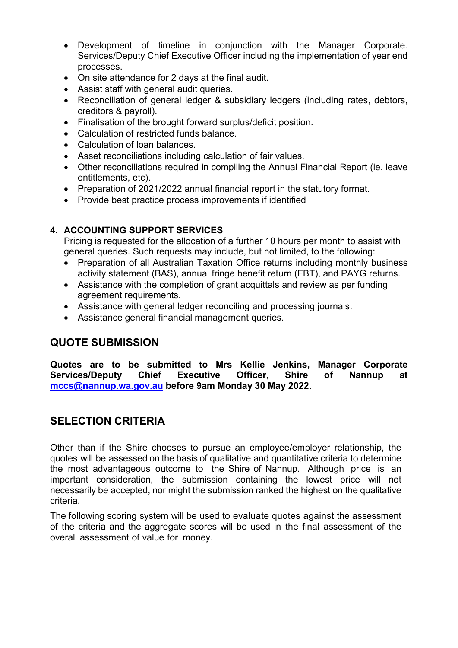- Development of timeline in conjunction with the Manager Corporate. Services/Deputy Chief Executive Officer including the implementation of year end processes.
- On site attendance for 2 days at the final audit.
- Assist staff with general audit queries.
- Reconciliation of general ledger & subsidiary ledgers (including rates, debtors, creditors & payroll).
- Finalisation of the brought forward surplus/deficit position.
- Calculation of restricted funds balance.
- Calculation of loan balances.
- Asset reconciliations including calculation of fair values.
- Other reconciliations required in compiling the Annual Financial Report (ie. leave entitlements, etc).
- Preparation of 2021/2022 annual financial report in the statutory format.
- Provide best practice process improvements if identified

### 4. ACCOUNTING SUPPORT SERVICES

Pricing is requested for the allocation of a further 10 hours per month to assist with general queries. Such requests may include, but not limited, to the following:

- Preparation of all Australian Taxation Office returns including monthly business activity statement (BAS), annual fringe benefit return (FBT), and PAYG returns.
- Assistance with the completion of grant acquittals and review as per funding agreement requirements.
- Assistance with general ledger reconciling and processing journals.
- Assistance general financial management queries.

# QUOTE SUBMISSION

Quotes are to be submitted to Mrs Kellie Jenkins, Manager Corporate Services/Deputy Chief Executive Officer, Shire of Nannup at mccs@nannup.wa.gov.au before 9am Monday 30 May 2022.

# SELECTION CRITERIA

Other than if the Shire chooses to pursue an employee/employer relationship, the quotes will be assessed on the basis of qualitative and quantitative criteria to determine the most advantageous outcome to the Shire of Nannup. Although price is an important consideration, the submission containing the lowest price will not necessarily be accepted, nor might the submission ranked the highest on the qualitative criteria.

The following scoring system will be used to evaluate quotes against the assessment of the criteria and the aggregate scores will be used in the final assessment of the overall assessment of value for money.